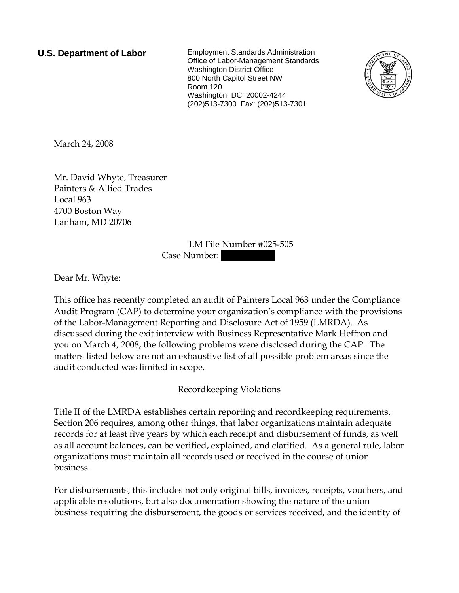**U.S. Department of Labor** Employment Standards Administration Office of Labor-Management Standards Washington District Office 800 North Capitol Street NW Room 120 Washington, DC 20002-4244 (202)513-7300 Fax: (202)513-7301



March 24, 2008

Mr. David Whyte, Treasurer Painters & Allied Trades Local 963 4700 Boston Way Lanham, MD 20706

> LM File Number #025-505 Case Number:

Dear Mr. Whyte:

This office has recently completed an audit of Painters Local 963 under the Compliance Audit Program (CAP) to determine your organization's compliance with the provisions of the Labor-Management Reporting and Disclosure Act of 1959 (LMRDA). As discussed during the exit interview with Business Representative Mark Heffron and you on March 4, 2008, the following problems were disclosed during the CAP. The matters listed below are not an exhaustive list of all possible problem areas since the audit conducted was limited in scope.

## Recordkeeping Violations

Title II of the LMRDA establishes certain reporting and recordkeeping requirements. Section 206 requires, among other things, that labor organizations maintain adequate records for at least five years by which each receipt and disbursement of funds, as well as all account balances, can be verified, explained, and clarified. As a general rule, labor organizations must maintain all records used or received in the course of union business.

For disbursements, this includes not only original bills, invoices, receipts, vouchers, and applicable resolutions, but also documentation showing the nature of the union business requiring the disbursement, the goods or services received, and the identity of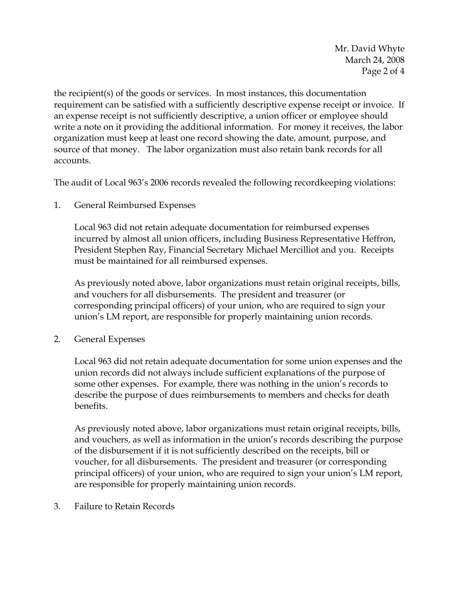Mr. David Whyte March 24, 2008 Page 2 of 4

the recipient(s) of the goods or services. In most instances, this documentation requirement can be satisfied with a sufficiently descriptive expense receipt or invoice. If an expense receipt is not sufficiently descriptive, a union officer or employee should write a note on it providing the additional information. For money it receives, the labor organization must keep at least one record showing the date, amount, purpose, and source of that money. The labor organization must also retain bank records for all accounts.

The audit of Local 963's 2006 records revealed the following recordkeeping violations:

1. General Reimbursed Expenses

Local 963 did not retain adequate documentation for reimbursed expenses incurred by almost all union officers, including Business Representative Heffron, President Stephen Ray, Financial Secretary Michael Mercilliot and you. Receipts must be maintained for all reimbursed expenses.

As previously noted above, labor organizations must retain original receipts, bills, and vouchers for all disbursements. The president and treasurer (or corresponding principal officers) of your union, who are required to sign your union's LM report, are responsible for properly maintaining union records.

2. General Expenses

Local 963 did not retain adequate documentation for some union expenses and the union records did not always include sufficient explanations of the purpose of some other expenses. For example, there was nothing in the union's records to describe the purpose of dues reimbursements to members and checks for death benefits.

As previously noted above, labor organizations must retain original receipts, bills, and vouchers, as well as information in the union's records describing the purpose of the disbursement if it is not sufficiently described on the receipts, bill or voucher, for all disbursements. The president and treasurer (or corresponding principal officers) of your union, who are required to sign your union's LM report, are responsible for properly maintaining union records.

3. Failure to Retain Records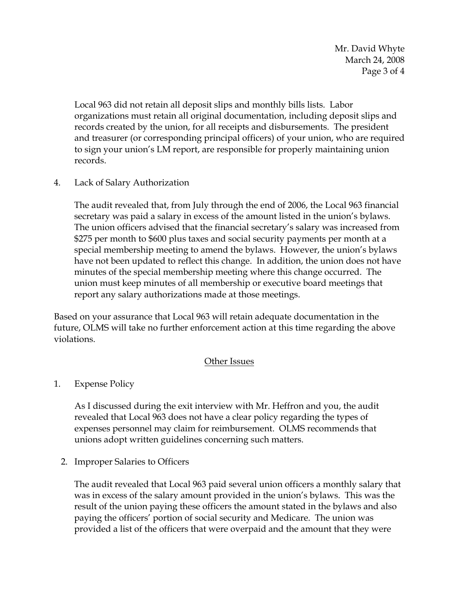Mr. David Whyte March 24, 2008 Page 3 of 4

Local 963 did not retain all deposit slips and monthly bills lists. Labor organizations must retain all original documentation, including deposit slips and records created by the union, for all receipts and disbursements. The president and treasurer (or corresponding principal officers) of your union, who are required to sign your union's LM report, are responsible for properly maintaining union records.

4. Lack of Salary Authorization

The audit revealed that, from July through the end of 2006, the Local 963 financial secretary was paid a salary in excess of the amount listed in the union's bylaws. The union officers advised that the financial secretary's salary was increased from \$275 per month to \$600 plus taxes and social security payments per month at a special membership meeting to amend the bylaws. However, the union's bylaws have not been updated to reflect this change. In addition, the union does not have minutes of the special membership meeting where this change occurred. The union must keep minutes of all membership or executive board meetings that report any salary authorizations made at those meetings.

Based on your assurance that Local 963 will retain adequate documentation in the future, OLMS will take no further enforcement action at this time regarding the above violations.

## Other Issues

1. Expense Policy

As I discussed during the exit interview with Mr. Heffron and you, the audit revealed that Local 963 does not have a clear policy regarding the types of expenses personnel may claim for reimbursement. OLMS recommends that unions adopt written guidelines concerning such matters.

2. Improper Salaries to Officers

The audit revealed that Local 963 paid several union officers a monthly salary that was in excess of the salary amount provided in the union's bylaws. This was the result of the union paying these officers the amount stated in the bylaws and also paying the officers' portion of social security and Medicare. The union was provided a list of the officers that were overpaid and the amount that they were